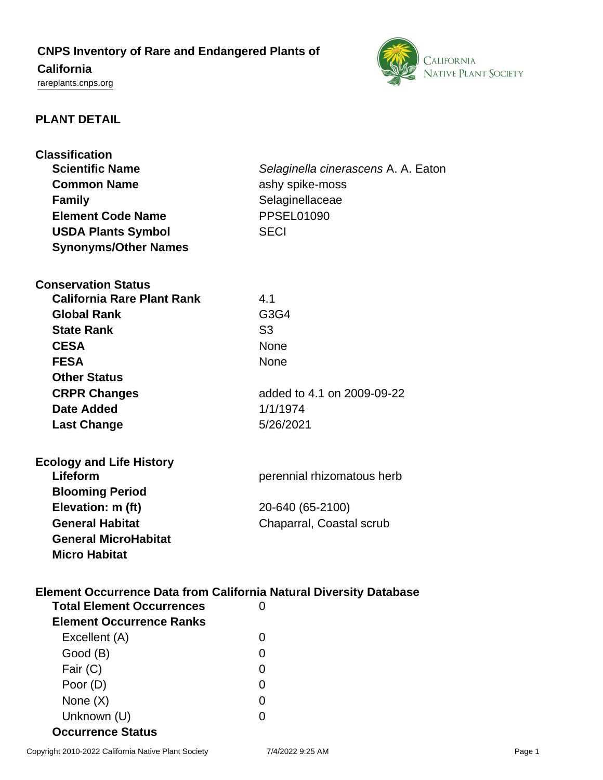# **CNPS Inventory of Rare and Endangered Plants of**

## **California**

<rareplants.cnps.org>



## **PLANT DETAIL**

| <b>Classification</b>                                                     |                                     |  |
|---------------------------------------------------------------------------|-------------------------------------|--|
| <b>Scientific Name</b>                                                    | Selaginella cinerascens A. A. Eaton |  |
| <b>Common Name</b>                                                        | ashy spike-moss                     |  |
| <b>Family</b>                                                             | Selaginellaceae                     |  |
| <b>Element Code Name</b>                                                  | <b>PPSEL01090</b>                   |  |
| <b>USDA Plants Symbol</b>                                                 | <b>SECI</b>                         |  |
| <b>Synonyms/Other Names</b>                                               |                                     |  |
|                                                                           |                                     |  |
| <b>Conservation Status</b>                                                |                                     |  |
| <b>California Rare Plant Rank</b>                                         | 4.1                                 |  |
| <b>Global Rank</b>                                                        | G3G4                                |  |
| <b>State Rank</b>                                                         | S <sub>3</sub>                      |  |
| <b>CESA</b>                                                               | <b>None</b>                         |  |
| <b>FESA</b>                                                               | <b>None</b>                         |  |
| <b>Other Status</b>                                                       |                                     |  |
| <b>CRPR Changes</b>                                                       | added to 4.1 on 2009-09-22          |  |
| <b>Date Added</b>                                                         | 1/1/1974                            |  |
| <b>Last Change</b>                                                        | 5/26/2021                           |  |
|                                                                           |                                     |  |
|                                                                           |                                     |  |
| <b>Ecology and Life History</b><br>Lifeform                               | perennial rhizomatous herb          |  |
| <b>Blooming Period</b>                                                    |                                     |  |
|                                                                           |                                     |  |
| Elevation: m (ft)                                                         | 20-640 (65-2100)                    |  |
| <b>General Habitat</b>                                                    | Chaparral, Coastal scrub            |  |
| <b>General MicroHabitat</b>                                               |                                     |  |
| <b>Micro Habitat</b>                                                      |                                     |  |
|                                                                           |                                     |  |
| <b>Element Occurrence Data from California Natural Diversity Database</b> |                                     |  |
| <b>Total Element Occurrences</b>                                          | 0                                   |  |
| <b>Element Occurrence Ranks</b>                                           |                                     |  |
| Excellent (A)                                                             | 0                                   |  |
| Good (B)                                                                  | 0                                   |  |
| Fair (C)                                                                  | 0                                   |  |
| Poor (D)                                                                  | 0                                   |  |
| None (X)                                                                  | 0                                   |  |
| Unknown (U)                                                               | 0                                   |  |
| <b>Occurrence Status</b>                                                  |                                     |  |